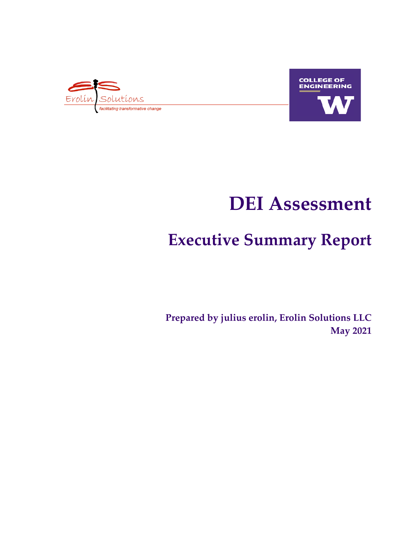



# **DEI Assessment**

# **Executive Summary Report**

**Prepared by julius erolin, Erolin Solutions LLC May 2021**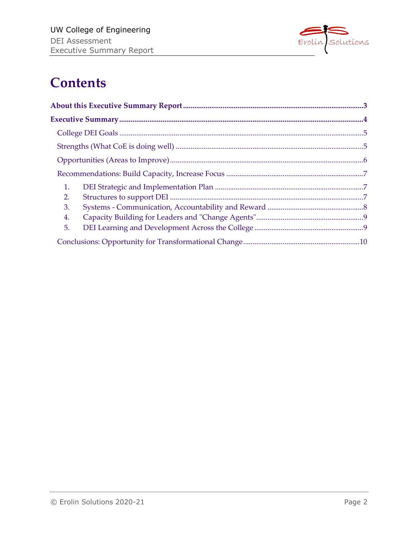

## **Contents**

| 1. |  |
|----|--|
| 2. |  |
| 3. |  |
| 4. |  |
| 5. |  |
|    |  |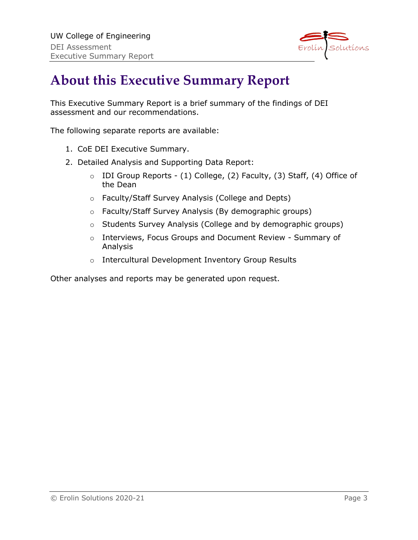

## **About this Executive Summary Report**

This Executive Summary Report is a brief summary of the findings of DEI assessment and our recommendations.

The following separate reports are available:

- 1. CoE DEI Executive Summary.
- 2. Detailed Analysis and Supporting Data Report:
	- $\circ$  IDI Group Reports (1) College, (2) Faculty, (3) Staff, (4) Office of the Dean
	- o Faculty/Staff Survey Analysis (College and Depts)
	- o Faculty/Staff Survey Analysis (By demographic groups)
	- o Students Survey Analysis (College and by demographic groups)
	- o Interviews, Focus Groups and Document Review Summary of Analysis
	- o Intercultural Development Inventory Group Results

Other analyses and reports may be generated upon request.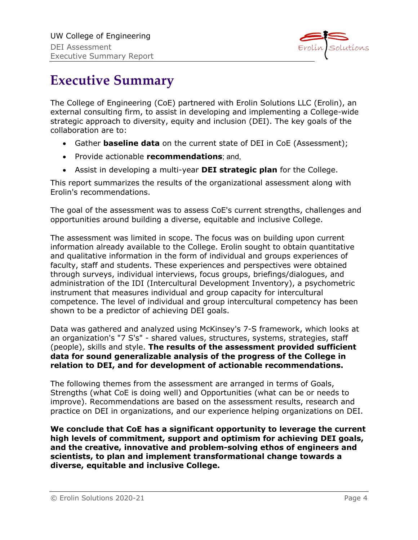

## **Executive Summary**

The College of Engineering (CoE) partnered with Erolin Solutions LLC (Erolin), an external consulting firm, to assist in developing and implementing a College-wide strategic approach to diversity, equity and inclusion (DEI). The key goals of the collaboration are to:

- Gather **baseline data** on the current state of DEI in CoE (Assessment);
- Provide actionable **recommendations**; and,
- Assist in developing a multi-year **DEI strategic plan** for the College.

This report summarizes the results of the organizational assessment along with Erolin's recommendations.

The goal of the assessment was to assess CoE's current strengths, challenges and opportunities around building a diverse, equitable and inclusive College.

The assessment was limited in scope. The focus was on building upon current information already available to the College. Erolin sought to obtain quantitative and qualitative information in the form of individual and groups experiences of faculty, staff and students. These experiences and perspectives were obtained through surveys, individual interviews, focus groups, briefings/dialogues, and administration of the IDI (Intercultural Development Inventory), a psychometric instrument that measures individual and group capacity for intercultural competence. The level of individual and group intercultural competency has been shown to be a predictor of achieving DEI goals.

Data was gathered and analyzed using McKinsey's 7-S framework, which looks at an organization's "7 S's" - shared values, structures, systems, strategies, staff (people), skills and style. **The results of the assessment provided sufficient data for sound generalizable analysis of the progress of the College in relation to DEI, and for development of actionable recommendations.**

The following themes from the assessment are arranged in terms of Goals, Strengths (what CoE is doing well) and Opportunities (what can be or needs to improve). Recommendations are based on the assessment results, research and practice on DEI in organizations, and our experience helping organizations on DEI.

**We conclude that CoE has a significant opportunity to leverage the current high levels of commitment, support and optimism for achieving DEI goals, and the creative, innovative and problem-solving ethos of engineers and scientists, to plan and implement transformational change towards a diverse, equitable and inclusive College.**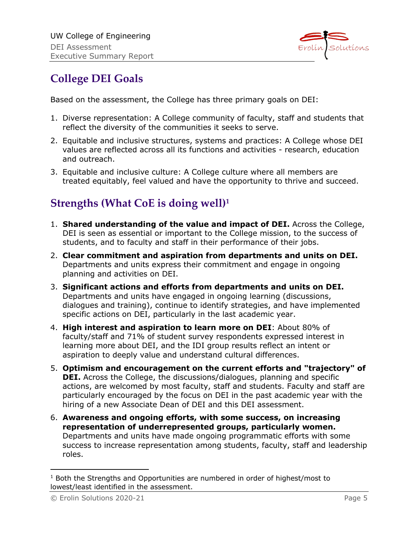

## **College DEI Goals**

Based on the assessment, the College has three primary goals on DEI:

- 1. Diverse representation: A College community of faculty, staff and students that reflect the diversity of the communities it seeks to serve.
- 2. Equitable and inclusive structures, systems and practices: A College whose DEI values are reflected across all its functions and activities - research, education and outreach.
- 3. Equitable and inclusive culture: A College culture where all members are treated equitably, feel valued and have the opportunity to thrive and succeed.

## **Strengths (What CoE is doing well)1**

- 1. **Shared understanding of the value and impact of DEI.** Across the College, DEI is seen as essential or important to the College mission, to the success of students, and to faculty and staff in their performance of their jobs.
- 2. **Clear commitment and aspiration from departments and units on DEI.**  Departments and units express their commitment and engage in ongoing planning and activities on DEI.
- 3. **Significant actions and efforts from departments and units on DEI.**  Departments and units have engaged in ongoing learning (discussions, dialogues and training), continue to identify strategies, and have implemented specific actions on DEI, particularly in the last academic year.
- 4. **High interest and aspiration to learn more on DEI**: About 80% of faculty/staff and 71% of student survey respondents expressed interest in learning more about DEI, and the IDI group results reflect an intent or aspiration to deeply value and understand cultural differences.
- 5. **Optimism and encouragement on the current efforts and "trajectory" of DEI.** Across the College, the discussions/dialogues, planning and specific actions, are welcomed by most faculty, staff and students. Faculty and staff are particularly encouraged by the focus on DEI in the past academic year with the hiring of a new Associate Dean of DEI and this DEI assessment.
- 6. **Awareness and ongoing efforts, with some success, on increasing representation of underrepresented groups, particularly women.**  Departments and units have made ongoing programmatic efforts with some success to increase representation among students, faculty, staff and leadership roles.

 $1$  Both the Strengths and Opportunities are numbered in order of highest/most to lowest/least identified in the assessment.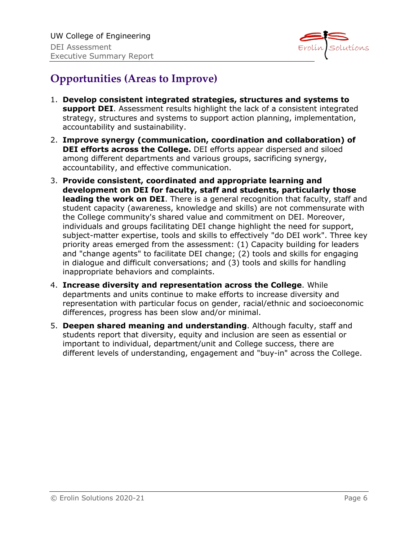

## **Opportunities (Areas to Improve)**

- 1. **Develop consistent integrated strategies, structures and systems to support DEI**. Assessment results highlight the lack of a consistent integrated strategy, structures and systems to support action planning, implementation, accountability and sustainability.
- 2. **Improve synergy (communication, coordination and collaboration) of DEI efforts across the College.** DEI efforts appear dispersed and siloed among different departments and various groups, sacrificing synergy, accountability, and effective communication.
- 3. **Provide consistent, coordinated and appropriate learning and development on DEI for faculty, staff and students, particularly those leading the work on DEI**. There is a general recognition that faculty, staff and student capacity (awareness, knowledge and skills) are not commensurate with the College community's shared value and commitment on DEI. Moreover, individuals and groups facilitating DEI change highlight the need for support, subject-matter expertise, tools and skills to effectively "do DEI work". Three key priority areas emerged from the assessment: (1) Capacity building for leaders and "change agents" to facilitate DEI change; (2) tools and skills for engaging in dialogue and difficult conversations; and (3) tools and skills for handling inappropriate behaviors and complaints.
- 4. **Increase diversity and representation across the College**. While departments and units continue to make efforts to increase diversity and representation with particular focus on gender, racial/ethnic and socioeconomic differences, progress has been slow and/or minimal.
- 5. **Deepen shared meaning and understanding**. Although faculty, staff and students report that diversity, equity and inclusion are seen as essential or important to individual, department/unit and College success, there are different levels of understanding, engagement and "buy-in" across the College.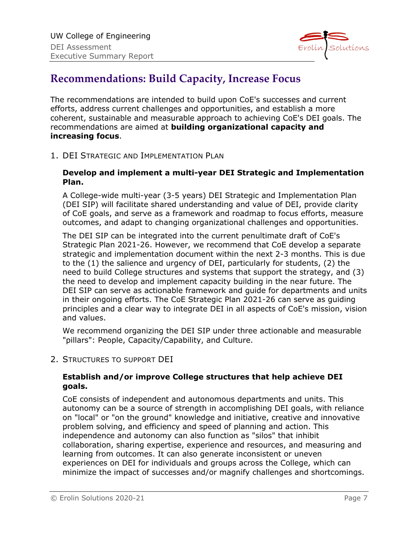

### **Recommendations: Build Capacity, Increase Focus**

The recommendations are intended to build upon CoE's successes and current efforts, address current challenges and opportunities, and establish a more coherent, sustainable and measurable approach to achieving CoE's DEI goals. The recommendations are aimed at **building organizational capacity and increasing focus**.

1. DEI STRATEGIC AND IMPLEMENTATION PLAN

### **Develop and implement a multi-year DEI Strategic and Implementation Plan.**

A College-wide multi-year (3-5 years) DEI Strategic and Implementation Plan (DEI SIP) will facilitate shared understanding and value of DEI, provide clarity of CoE goals, and serve as a framework and roadmap to focus efforts, measure outcomes, and adapt to changing organizational challenges and opportunities.

The DEI SIP can be integrated into the current penultimate draft of CoE's Strategic Plan 2021-26. However, we recommend that CoE develop a separate strategic and implementation document within the next 2-3 months. This is due to the (1) the salience and urgency of DEI, particularly for students, (2) the need to build College structures and systems that support the strategy, and (3) the need to develop and implement capacity building in the near future. The DEI SIP can serve as actionable framework and guide for departments and units in their ongoing efforts. The CoE Strategic Plan 2021-26 can serve as guiding principles and a clear way to integrate DEI in all aspects of CoE's mission, vision and values.

We recommend organizing the DEI SIP under three actionable and measurable "pillars": People, Capacity/Capability, and Culture.

2. STRUCTURES TO SUPPORT DEI

### **Establish and/or improve College structures that help achieve DEI goals.**

CoE consists of independent and autonomous departments and units. This autonomy can be a source of strength in accomplishing DEI goals, with reliance on "local" or "on the ground" knowledge and initiative, creative and innovative problem solving, and efficiency and speed of planning and action. This independence and autonomy can also function as "silos" that inhibit collaboration, sharing expertise, experience and resources, and measuring and learning from outcomes. It can also generate inconsistent or uneven experiences on DEI for individuals and groups across the College, which can minimize the impact of successes and/or magnify challenges and shortcomings.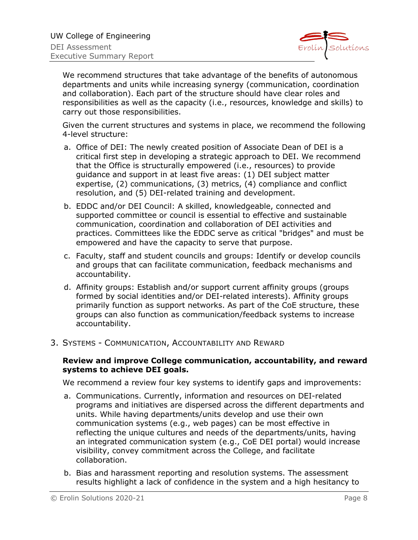

We recommend structures that take advantage of the benefits of autonomous departments and units while increasing synergy (communication, coordination and collaboration). Each part of the structure should have clear roles and responsibilities as well as the capacity (i.e., resources, knowledge and skills) to carry out those responsibilities.

Given the current structures and systems in place, we recommend the following 4-level structure:

- a. Office of DEI: The newly created position of Associate Dean of DEI is a critical first step in developing a strategic approach to DEI. We recommend that the Office is structurally empowered (i.e., resources) to provide guidance and support in at least five areas: (1) DEI subject matter expertise, (2) communications, (3) metrics, (4) compliance and conflict resolution, and (5) DEI-related training and development.
- b. EDDC and/or DEI Council: A skilled, knowledgeable, connected and supported committee or council is essential to effective and sustainable communication, coordination and collaboration of DEI activities and practices. Committees like the EDDC serve as critical "bridges" and must be empowered and have the capacity to serve that purpose.
- c. Faculty, staff and student councils and groups: Identify or develop councils and groups that can facilitate communication, feedback mechanisms and accountability.
- d. Affinity groups: Establish and/or support current affinity groups (groups formed by social identities and/or DEI-related interests). Affinity groups primarily function as support networks. As part of the CoE structure, these groups can also function as communication/feedback systems to increase accountability.
- 3. SYSTEMS COMMUNICATION, ACCOUNTABILITY AND REWARD

#### **Review and improve College communication, accountability, and reward systems to achieve DEI goals.**

We recommend a review four key systems to identify gaps and improvements:

- a. Communications. Currently, information and resources on DEI-related programs and initiatives are dispersed across the different departments and units. While having departments/units develop and use their own communication systems (e.g., web pages) can be most effective in reflecting the unique cultures and needs of the departments/units, having an integrated communication system (e.g., CoE DEI portal) would increase visibility, convey commitment across the College, and facilitate collaboration.
- b. Bias and harassment reporting and resolution systems. The assessment results highlight a lack of confidence in the system and a high hesitancy to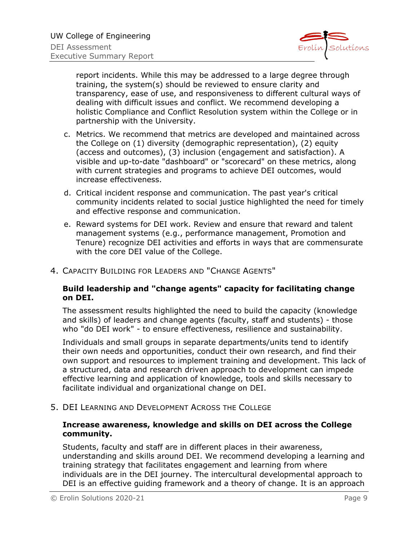

report incidents. While this may be addressed to a large degree through training, the system(s) should be reviewed to ensure clarity and transparency, ease of use, and responsiveness to different cultural ways of dealing with difficult issues and conflict. We recommend developing a holistic Compliance and Conflict Resolution system within the College or in partnership with the University.

- c. Metrics. We recommend that metrics are developed and maintained across the College on (1) diversity (demographic representation), (2) equity (access and outcomes), (3) inclusion (engagement and satisfaction). A visible and up-to-date "dashboard" or "scorecard" on these metrics, along with current strategies and programs to achieve DEI outcomes, would increase effectiveness.
- d. Critical incident response and communication. The past year's critical community incidents related to social justice highlighted the need for timely and effective response and communication.
- e. Reward systems for DEI work. Review and ensure that reward and talent management systems (e.g., performance management, Promotion and Tenure) recognize DEI activities and efforts in ways that are commensurate with the core DEI value of the College.

#### 4. CAPACITY BUILDING FOR LEADERS AND "CHANGE AGENTS"

### **Build leadership and "change agents" capacity for facilitating change on DEI.**

The assessment results highlighted the need to build the capacity (knowledge and skills) of leaders and change agents (faculty, staff and students) - those who "do DEI work" - to ensure effectiveness, resilience and sustainability.

Individuals and small groups in separate departments/units tend to identify their own needs and opportunities, conduct their own research, and find their own support and resources to implement training and development. This lack of a structured, data and research driven approach to development can impede effective learning and application of knowledge, tools and skills necessary to facilitate individual and organizational change on DEI.

5. DEI LEARNING AND DEVELOPMENT ACROSS THE COLLEGE

### **Increase awareness, knowledge and skills on DEI across the College community.**

Students, faculty and staff are in different places in their awareness, understanding and skills around DEI. We recommend developing a learning and training strategy that facilitates engagement and learning from where individuals are in the DEI journey. The intercultural developmental approach to DEI is an effective guiding framework and a theory of change. It is an approach